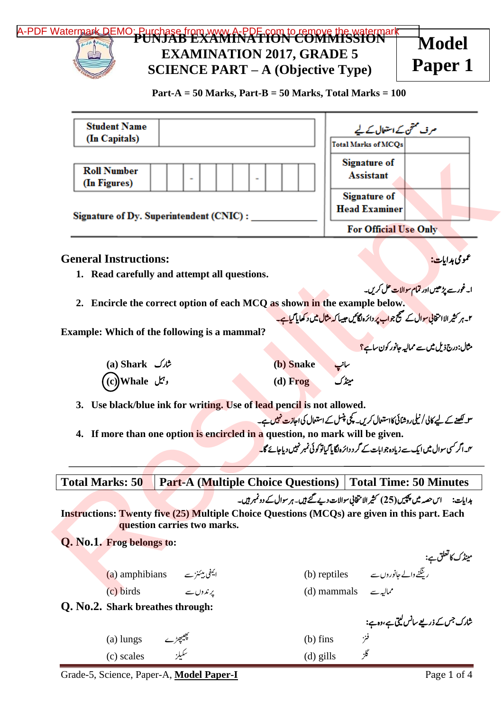

| <b>Student Name</b>                |                                                                    | مرف ختمی کے استعال کے لیے                                                                                                                                                                               |
|------------------------------------|--------------------------------------------------------------------|---------------------------------------------------------------------------------------------------------------------------------------------------------------------------------------------------------|
| (In Capitals)                      |                                                                    | <b>Total Marks of MCQs</b>                                                                                                                                                                              |
| <b>Roll Number</b><br>(In Figures) |                                                                    | <b>Signature of</b><br><b>Assistant</b>                                                                                                                                                                 |
|                                    |                                                                    | <b>Signature of</b>                                                                                                                                                                                     |
|                                    | <b>Signature of Dy. Superintendent (CNIC):</b>                     | <b>Head Examiner</b>                                                                                                                                                                                    |
|                                    |                                                                    | For Official Use Only                                                                                                                                                                                   |
| <b>General Instructions:</b>       |                                                                    | عمومی ہدایات:                                                                                                                                                                                           |
|                                    | 1. Read carefully and attempt all questions.                       |                                                                                                                                                                                                         |
|                                    |                                                                    | ا۔غورسے پڑھیں اور <b>تمام سوالات حل کریں۔</b>                                                                                                                                                           |
|                                    |                                                                    | 2. Encircle the correct option of each MCQ as shown in the example below.                                                                                                                               |
|                                    |                                                                    | ۲۔ ہر کثیر الا انتخابی <mark>سوال کے صبح جواب پر دائرہ لگائیں حیسا کہ مثال میں د کھایا گیاہے۔</mark>                                                                                                    |
|                                    | Example: Which of the following is a mammal?                       |                                                                                                                                                                                                         |
|                                    |                                                                    | مثال:درج ذیل میں سے ممالیہ جانور کون سا <mark>ہے؟</mark>                                                                                                                                                |
| (a) Shark شارک                     |                                                                    | (b) Snake<br>سانپ<br>مینڈک                                                                                                                                                                              |
| (c)Whale <i>پ</i> یل               |                                                                    | $(d)$ Frog                                                                                                                                                                                              |
| 3.                                 | Use black/blue ink for writing. Use of lead pencil is not allowed. |                                                                                                                                                                                                         |
|                                    |                                                                    | س لکھنے کے لیے کالی / نیلی روشائی کااستعال کریں۔ کچی پنسل کے استعال کی اجازت نہیں ہے۔                                                                                                                   |
| 4.                                 |                                                                    | If more than one option is encircled in a question, no mark will be given.<br><sup>م</sup> یں اگر کسی سوال میں ایک سے زیادہ جو امات کے گر د دائرہ لگایا گیاتو کو ٹی نمبر نہیں دیاجائے گا <mark>۔</mark> |
|                                    |                                                                    |                                                                                                                                                                                                         |
| <b>Total Marks: 50</b>             |                                                                    | <b>Part-A (Multiple Choice Questions)   Total Time: 50 Minutes</b>                                                                                                                                      |
|                                    |                                                                    | ہدایات:       اس حصہ میں پچپیں (25) کثیر الا متخانی سوالات دیے گئے ہیں۔ ہر سوال کے دونمبر ہیں۔                                                                                                          |
|                                    |                                                                    | <b>Instructions: Twenty five (25) Multiple Choice Questions (MCQs) are given in this part. Each</b>                                                                                                     |
|                                    | question carries two marks.                                        |                                                                                                                                                                                                         |
| Q. No.1. Frog belongs to:          |                                                                    |                                                                                                                                                                                                         |
|                                    |                                                                    | مینڈک کاتعلق ہے:<br>رینگٹے والے جانوروں سے                                                                                                                                                              |
|                                    | (a) amphibians ایمفی میئٹز سے                                      | (b) reptiles                                                                                                                                                                                            |
| (c) birds                          | یرندوں سے                                                          | (d) mammals $\sim$ $\mathcal{N}$                                                                                                                                                                        |
| Q. No.2. Shark breathes through:   |                                                                    |                                                                                                                                                                                                         |
|                                    |                                                                    | شارک جس کے ذریعے سانس لیتی ہے،وہ ہے:<br>.                                                                                                                                                               |
| $(a)$ lungs                        |                                                                    |                                                                                                                                                                                                         |
|                                    |                                                                    | $(b)$ fins                                                                                                                                                                                              |
| (c) scales                         |                                                                    | فز<br>$(d)$ gills                                                                                                                                                                                       |

Grade-5, Science, Paper-A, Model Paper-I Page 1 of 4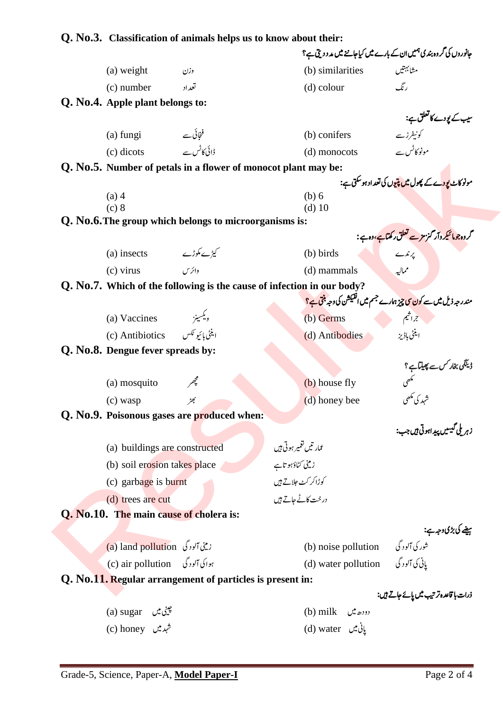# **Q. No.3. Classification of animals helps us to know about their:**

| Chassincation of annihas helps as to know abo                          | حانوروں کی گروہ بندی ہمیں ان کے بارے میں کیاجاننے میں مد د دیتی ہے؟                                                                                                                                                                                                                                                                                                                                                                        |
|------------------------------------------------------------------------|--------------------------------------------------------------------------------------------------------------------------------------------------------------------------------------------------------------------------------------------------------------------------------------------------------------------------------------------------------------------------------------------------------------------------------------------|
| (a) weight<br>وزن                                                      | مشابهتيں<br>(b) similarities                                                                                                                                                                                                                                                                                                                                                                                                               |
| (c) number<br>تعداد                                                    | رنگ<br>$(d)$ colour                                                                                                                                                                                                                                                                                                                                                                                                                        |
| Q. No.4. Apple plant belongs to:                                       |                                                                                                                                                                                                                                                                                                                                                                                                                                            |
|                                                                        | سیب کے پودے کا تعلق ہے:                                                                                                                                                                                                                                                                                                                                                                                                                    |
| (a) fungi $\qquad \qquad \qquad \in \mathfrak{b}$                      | کونیفرز سے<br>(b) conifers                                                                                                                                                                                                                                                                                                                                                                                                                 |
| ڈائی کاٹس سے<br>(c) dicots                                             | مونوکاٹس سے<br>(d) monocots                                                                                                                                                                                                                                                                                                                                                                                                                |
| Q. No.5. Number of petals in a flower of monocot plant may be:         |                                                                                                                                                                                                                                                                                                                                                                                                                                            |
|                                                                        | مونوکاٹ <mark>پودے کے پھول میں پتیوں کی تعداد ہوسکتی ہے:</mark>                                                                                                                                                                                                                                                                                                                                                                            |
| $(a)$ 4<br>(c) 8                                                       | (b) 6<br>$(d)$ 10                                                                                                                                                                                                                                                                                                                                                                                                                          |
| Q. No.6. The group which belongs to microorganisms is:                 |                                                                                                                                                                                                                                                                                                                                                                                                                                            |
|                                                                        | گروہ جومائیکر دآر گزمز سے تعلق رکھتاہے،دہ ہے :                                                                                                                                                                                                                                                                                                                                                                                             |
| (a) insects $\qquad \qquad \angle \mathcal{L}$ یڑے مگوڑے               | $\begin{array}{ c c c }\hline \textbf{1} & \textbf{1} & \textbf{1} & \textbf{1} & \textbf{1} & \textbf{1} & \textbf{1} & \textbf{1} & \textbf{1} & \textbf{1} & \textbf{1} & \textbf{1} & \textbf{1} & \textbf{1} & \textbf{1} & \textbf{1} & \textbf{1} & \textbf{1} & \textbf{1} & \textbf{1} & \textbf{1} & \textbf{1} & \textbf{1} & \textbf{1} & \textbf{1} & \textbf{1} & \textbf{1} & \textbf{1} & \textbf{1} & \text$<br>(b) birds |
| $(c)$ virus<br>وائز س                                                  | مماليه<br>(d) mammals                                                                                                                                                                                                                                                                                                                                                                                                                      |
| Q. No.7. Which of the following is the cause of infection in our body? |                                                                                                                                                                                                                                                                                                                                                                                                                                            |
|                                                                        | مندر جہ ذیل میں سے کون <mark>کی چیز ہ</mark> ارے جسم میں انفیکشن کی وجہ ب <del>نتی ہے؟</del>                                                                                                                                                                                                                                                                                                                                               |
| ويكسينز<br>(a) Vaccines                                                | $\mathcal{L} = \mathcal{L}^2/Z$<br>(b) Germs                                                                                                                                                                                                                                                                                                                                                                                               |
| (c) Antibiotics (c)                                                    | اینٹی باڈیز<br>(d) Antibodies                                                                                                                                                                                                                                                                                                                                                                                                              |
| Q. No.8. Dengue fever spreads by:                                      |                                                                                                                                                                                                                                                                                                                                                                                                                                            |
|                                                                        | ڈینگی بخار <i>کس سے پھی</i> لیا ہے ؟<br>مص <sub>حی</sub><br>شہد کی مکھی                                                                                                                                                                                                                                                                                                                                                                    |
| (a) mosquito                                                           | (b) house fly                                                                                                                                                                                                                                                                                                                                                                                                                              |
| بكطح<br>$(c)$ wasp                                                     | (d) honey bee                                                                                                                                                                                                                                                                                                                                                                                                                              |
| Q. No.9. Poisonous gases are produced when:                            |                                                                                                                                                                                                                                                                                                                                                                                                                                            |
|                                                                        | زہر ملی گیسیں پیداہوتی ہیں جب:                                                                                                                                                                                                                                                                                                                                                                                                             |
| (a) buildings are constructed                                          | عمار تيں تغمير ہوتی ہيں                                                                                                                                                                                                                                                                                                                                                                                                                    |
| (b) soil erosion takes place                                           | زینی کٹاؤہو تاہے                                                                                                                                                                                                                                                                                                                                                                                                                           |
| $(c)$ garbage is burnt                                                 | کوڑاکر کٹ جلاتے ہیں                                                                                                                                                                                                                                                                                                                                                                                                                        |
| (d) trees are cut                                                      | درخت کاٹے جاتے ہیں                                                                                                                                                                                                                                                                                                                                                                                                                         |
| Q. No.10. The main cause of cholera is:                                |                                                                                                                                                                                                                                                                                                                                                                                                                                            |
|                                                                        |                                                                                                                                                                                                                                                                                                                                                                                                                                            |
| زيني آلود گي (a) land pollution                                        | میغے کی بڑی وجہ ہے:<br>شور کی آلود گی<br>(d) water n= ''                                                                                                                                                                                                                                                                                                                                                                                   |
| ہوا کی آلودگی (c) air pollution                                        | یانی کی آلودگی (d) water pollution                                                                                                                                                                                                                                                                                                                                                                                                         |
| Q. No.11. Regular arrangement of particles is present in:              |                                                                                                                                                                                                                                                                                                                                                                                                                                            |
|                                                                        | ذرات با قاعدہ ترتیب میں پائے جاتے ہیں:                                                                                                                                                                                                                                                                                                                                                                                                     |
| چيني ميں (a) sugar                                                     | (b) milk $\cos \theta$                                                                                                                                                                                                                                                                                                                                                                                                                     |
| شہد میں c) honey)                                                      | یانی بیں d) water                                                                                                                                                                                                                                                                                                                                                                                                                          |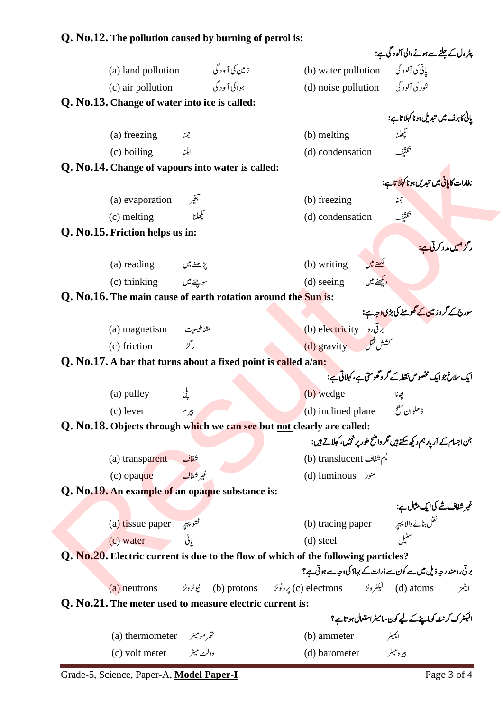## **Q. No.12. The pollution caused by burning of petrol is:**

|                                                                |                                    |                                                                                    | پٹر ول کے جلنے سے ہونے والی آلو د گی ہے:                                             |
|----------------------------------------------------------------|------------------------------------|------------------------------------------------------------------------------------|--------------------------------------------------------------------------------------|
| (a) land pollution                                             | ز مین کی آلود گی                   |                                                                                    | یانی کی آلودگی (b) water pollution                                                   |
|                                                                | c) air pollution (c) air pollution |                                                                                    | شور کی آلود گی (d) noise pollution                                                   |
| Q. No.13. Change of water into ice is called:                  |                                    |                                                                                    |                                                                                      |
|                                                                |                                    |                                                                                    | یائی کابرف میں تبدیل ہونا کہلا تاہے:                                                 |
| (a) freezing                                                   | جمنا                               | (b) melting                                                                        | فعجيهمانا                                                                            |
| (c) boiling                                                    | ابلنا                              | (d) condensation                                                                   | تمتثيف                                                                               |
| Q. No.14. Change of vapours into water is called:              |                                    |                                                                                    |                                                                                      |
|                                                                |                                    |                                                                                    | بخارات کا <mark>یانی م</mark> یں تبدیل ہونا کہ <mark>لا ت</mark> اہے:                |
| (a) evaporation                                                | تبخير                              | (b) freezing                                                                       | $\mathfrak{c}$                                                                       |
| (c) melting                                                    | تجھلنا                             | (d) condensation                                                                   | بحثثيف                                                                               |
| Q. No.15. Friction helps us in:                                |                                    |                                                                                    |                                                                                      |
|                                                                |                                    |                                                                                    | ر گ <mark>ڑ ہمیں مدد کرتی ہے:</mark>                                                 |
| (a) reading $\mathcal{L}^*$ $\mathcal{L}$                      |                                    | (b) writing                                                                        | لکھنے میں<br>دیکھنے میں                                                              |
| (c) thinking $\psi$                                            |                                    | $(d)$ seeing                                                                       |                                                                                      |
| Q. No.16. The main cause of earth rotation around the Sun is:  |                                    |                                                                                    |                                                                                      |
|                                                                |                                    |                                                                                    | سورج کے گر د <b>ز</b> مین کے گھومنے کی بڑی وجہ ہے:                                   |
| (a) magnetism مقناطيسيت                                        |                                    | (b) electricity                                                                    |                                                                                      |
| (c) friction                                                   | ر گڑ                               | (d) gravity (d)                                                                    |                                                                                      |
| Q. No.17. A bar that turns about a fixed point is called a/an: |                                    |                                                                                    |                                                                                      |
|                                                                |                                    |                                                                                    | ایک سلاخ جوایک مخصوص نقطہ کے گرد گھومتی ہے، کہلاتی ہے:                               |
| (a) pulley                                                     | یکی                                | (b) wedge                                                                          |                                                                                      |
| (c) lever                                                      | بيرم                               |                                                                                    | (d) inclined plane ڈھلوان سطح                                                        |
|                                                                |                                    | Q. No.18. Objects through which we can see but not clearly are called:             |                                                                                      |
|                                                                |                                    |                                                                                    | جن اجسام کے آریار ہم دیکھ سکتے ہیں گمر داشتح طور پر نہیں، کہلاتے ہیں:                |
| (a) transparent                                                |                                    | نيم شفاف translucent) انيم شفاف                                                    |                                                                                      |
| $(c)$ opaque                                                   | غير شفاف                           | منور (d) luminous                                                                  |                                                                                      |
| Q. No.19. An example of an opaque substance is:                |                                    |                                                                                    | غ <b>یر شفاف شے کیا ایک مثال ہے:</b><br>غیر <b>شفاف شے کیا ایک مثال ہ</b> ے:<br>سٹیل |
|                                                                |                                    |                                                                                    |                                                                                      |
| ثشوچيه (a) tissue paper)                                       |                                    | (b) tracing paper                                                                  |                                                                                      |
| (c) water                                                      | يانى كەستانلىق بول                 | (d) steel                                                                          |                                                                                      |
|                                                                |                                    | Q. No.20. Electric current is due to the flow of which of the following particles? |                                                                                      |
|                                                                |                                    |                                                                                    | برقی رومندر جہ ذیل میں سے کون سے ذرات کے بہاؤ کی وجہ سے ہوتی ہے؟                     |
| (a) neutrons                                                   |                                    | ایٹمز (d) atoms (d) atoms) الیکٹرونز (c) electrons) پروٹونز (b) protons) نیوٹرونز  |                                                                                      |
| Q. No.21. The meter used to measure electric current is:       |                                    |                                                                                    |                                                                                      |
|                                                                |                                    |                                                                                    | الیکٹرک کرنٹ کوماینے کے لیے کون سامیٹراستعال ہو تاہے؟                                |
| (a) thermometer گھرمومیٹر                                      |                                    | (b) ammeter                                                                        | ايميٹر                                                                               |
| (c) volt meter دولٹ میٹر                                       |                                    | (d) barometer                                                                      | بير وميٹر                                                                            |

Grade-5, Science, Paper-A, Model Paper-I Page 3 of 4